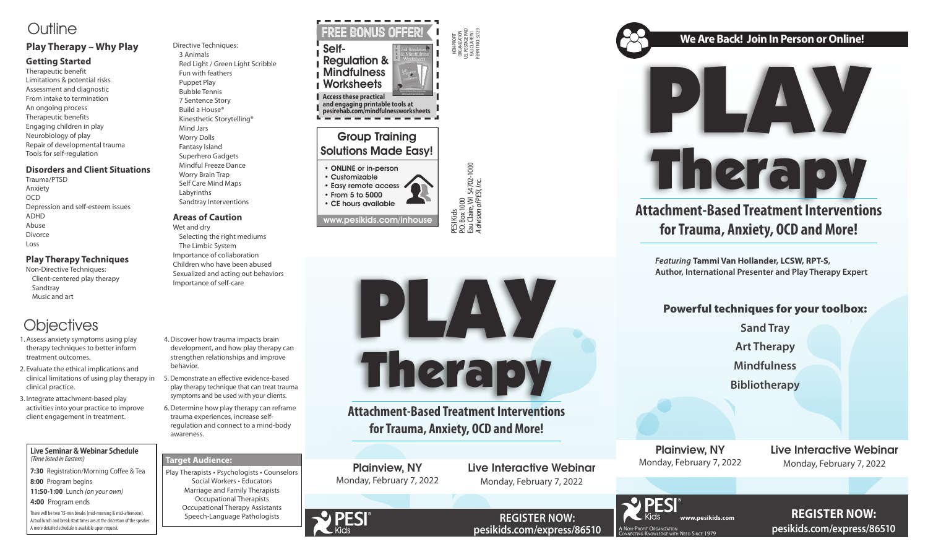NON-PROFIT ORGANIZATION U.S. POSTAGE PAID EAU CLAIRE WI PERMIT NO. 32729

P.O. Box 1000

Eau Claire, WI 54702-1000 *A division of PESI, Inc.*

### Group Training Solutions Made Easy!

- ONLINE or in-person
- Customizable • Easy remote access • From 5 to 5000
- CE hours available





**www.pesikids.com REGISTER NOW: pesikids.com/express/86510**



**REGISTER NOW: pesikids.com/express/86510**





### Powerful techniques for your toolbox:

**Sand Tray**

**Art Therapy** 

**Mindfulness**

**Bibliotherapy**





## **Attachment-Based Treatment Interventions for Trauma, Anxiety, OCD and More!**

*Featuring* **Tammi Van Hollander, LCSW, RPT-S, Author, International Presenter and Play Therapy Expert** 

Plainview, NY Monday, February 7, 2022

Live Interactive Webinar Monday, February 7, 2022



PESI Kids<br>P.O. Box 1000<br>Eau Claire, WI 54702-1000<br>A division of PESI, Inc.

## **Attachment-Based Treatment Interventions for Trauma, Anxiety, OCD and More!**

## Outline

### **Play Therapy – Why Play**

#### **Getting Started**

Therapeutic benefit Limitations & potential risks Assessment and diagnostic From intake to termination An ongoing process Therapeutic benefits Engaging children in play Neurobiology of play Repair of developmental trauma Tools for self-regulation

#### **Disorders and Client Situations**

Trauma/PTSD Anxiety OCD Depression and self-esteem issues ADHD Abuse Divorce Loss

#### **Play Therapy Techniques**

Non-Directive Techniques: Client-centered play therapy Sandtray Music and art

## **Objectives**

Directive Techniques: 3 Animals Red Light / Green Light Scribble Fun with feathers Puppet Play Bubble Tennis 7 Sentence Story Build a House® Kinesthetic Storytelling® Mind Jars Worry Dolls Fantasy Island Superhero Gadgets Mindful Freeze Dance Worry Brain Trap Self Care Mind Maps Labyrinths Sandtray Interventions

#### **Areas of Caution**

Wet and dry Selecting the right mediums The Limbic System Importance of collaboration Children who have been abused Sexualized and acting out behaviors Importance of self-care

- 1.Assess anxiety symptoms using play therapy techniques to better inform treatment outcomes.
- 2. Evaluate the ethical implications and clinical limitations of using play therapy in 5. Demonstrate an effective evidence-based clinical practice.
- 3. Integrate attachment-based play activities into your practice to improve client engagement in treatment.
- 4.Discover how trauma impacts brain development, and how play therapy can strengthen relationships and improve behavior.
- play therapy technique that can treat trauma symptoms and be used with your clients.
- 6.Determine how play therapy can reframe trauma experiences, increase selfregulation and connect to a mind-body awareness.

**Live Seminar & Webinar Schedule** *(Time listed in Eastern)*

**7:30** Registration/Morning Coffee & Tea

- **8:00** Program begins
- **11:50-1:00** Lunch *(on your own)*

**4:00** Program ends

There will be two 15-min breaks (mid-morning & mid-afternoon). Actual lunch and break start times are at the discretion of the speaker. A more detailed schedule is available upon request.

#### **Target Audience:**

Play Therapists • Psychologists • Counselors Social Workers • Educators Marriage and Family Therapists Occupational Therapists Occupational Therapy Assistants Speech-Language Pathologists



Live Interactive Webinar Monday, February 7, 2022

### **We Are Back! Join In Person or Online!**